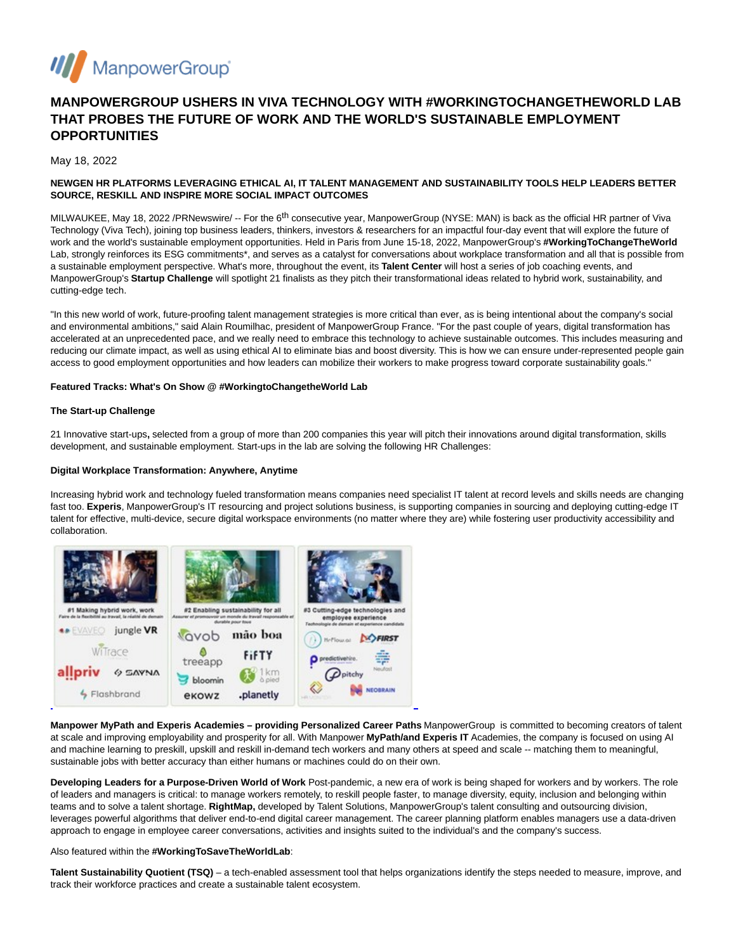

# **MANPOWERGROUP USHERS IN VIVA TECHNOLOGY WITH #WORKINGTOCHANGETHEWORLD LAB THAT PROBES THE FUTURE OF WORK AND THE WORLD'S SUSTAINABLE EMPLOYMENT OPPORTUNITIES**

May 18, 2022

# **NEWGEN HR PLATFORMS LEVERAGING ETHICAL AI, IT TALENT MANAGEMENT AND SUSTAINABILITY TOOLS HELP LEADERS BETTER SOURCE, RESKILL AND INSPIRE MORE SOCIAL IMPACT OUTCOMES**

MILWAUKEE, May 18, 2022 /PRNewswire/ -- For the 6<sup>th</sup> consecutive year, ManpowerGroup (NYSE: MAN) is back as the official HR partner of Viva Technology (Viva Tech), joining top business leaders, thinkers, investors & researchers for an impactful four-day event that will explore the future of work and the world's sustainable employment opportunities. Held in Paris from June 15-18, 2022, ManpowerGroup's **#WorkingToChangeTheWorld** Lab, strongly reinforces its ESG commitments\*, and serves as a catalyst for conversations about workplace transformation and all that is possible from a sustainable employment perspective. What's more, throughout the event, its **Talent Center** will host a series of job coaching events, and ManpowerGroup's **Startup Challenge** will spotlight 21 finalists as they pitch their transformational ideas related to hybrid work, sustainability, and cutting-edge tech.

"In this new world of work, future-proofing talent management strategies is more critical than ever, as is being intentional about the company's social and environmental ambitions," said Alain Roumilhac, president of ManpowerGroup France. "For the past couple of years, digital transformation has accelerated at an unprecedented pace, and we really need to embrace this technology to achieve sustainable outcomes. This includes measuring and reducing our climate impact, as well as using ethical AI to eliminate bias and boost diversity. This is how we can ensure under-represented people gain access to good employment opportunities and how leaders can mobilize their workers to make progress toward corporate sustainability goals."

# **Featured Tracks: What's On Show @ #WorkingtoChangetheWorld Lab**

#### **The Start-up Challenge**

21 Innovative start-ups**,** selected from a group of more than 200 companies this year will pitch their innovations around digital transformation, skills development, and sustainable employment. Start-ups in the lab are solving the following HR Challenges:

### **Digital Workplace Transformation: Anywhere, Anytime**

Increasing hybrid work and technology fueled transformation means companies need specialist IT talent at record levels and skills needs are changing fast too. Experis, ManpowerGroup's IT resourcing and project solutions business, is supporting companies in sourcing and deploying cutting-edge IT talent for effective, multi-device, secure digital workspace environments (no matter where they are) while fostering user productivity accessibility and collaboration.



**Manpower MyPath and Experis Academies – providing Personalized Career Paths** ManpowerGroup is committed to becoming creators of talent at scale and improving employability and prosperity for all. With Manpower **MyPath/and Experis IT** Academies, the company is focused on using AI and machine learning to preskill, upskill and reskill in-demand tech workers and many others at speed and scale -- matching them to meaningful, sustainable jobs with better accuracy than either humans or machines could do on their own.

**Developing Leaders for a Purpose-Driven World of Work** Post-pandemic, a new era of work is being shaped for workers and by workers. The role of leaders and managers is critical: to manage workers remotely, to reskill people faster, to manage diversity, equity, inclusion and belonging within teams and to solve a talent shortage. **RightMap,** developed by Talent Solutions, ManpowerGroup's talent consulting and outsourcing division, leverages powerful algorithms that deliver end-to-end digital career management. The career planning platform enables managers use a data-driven approach to engage in employee career conversations, activities and insights suited to the individual's and the company's success.

# Also featured within the **#WorkingToSaveTheWorldLab**:

**Talent Sustainability Quotient (TSQ)** – a tech-enabled assessment tool that helps organizations identify the steps needed to measure, improve, and track their workforce practices and create a sustainable talent ecosystem.